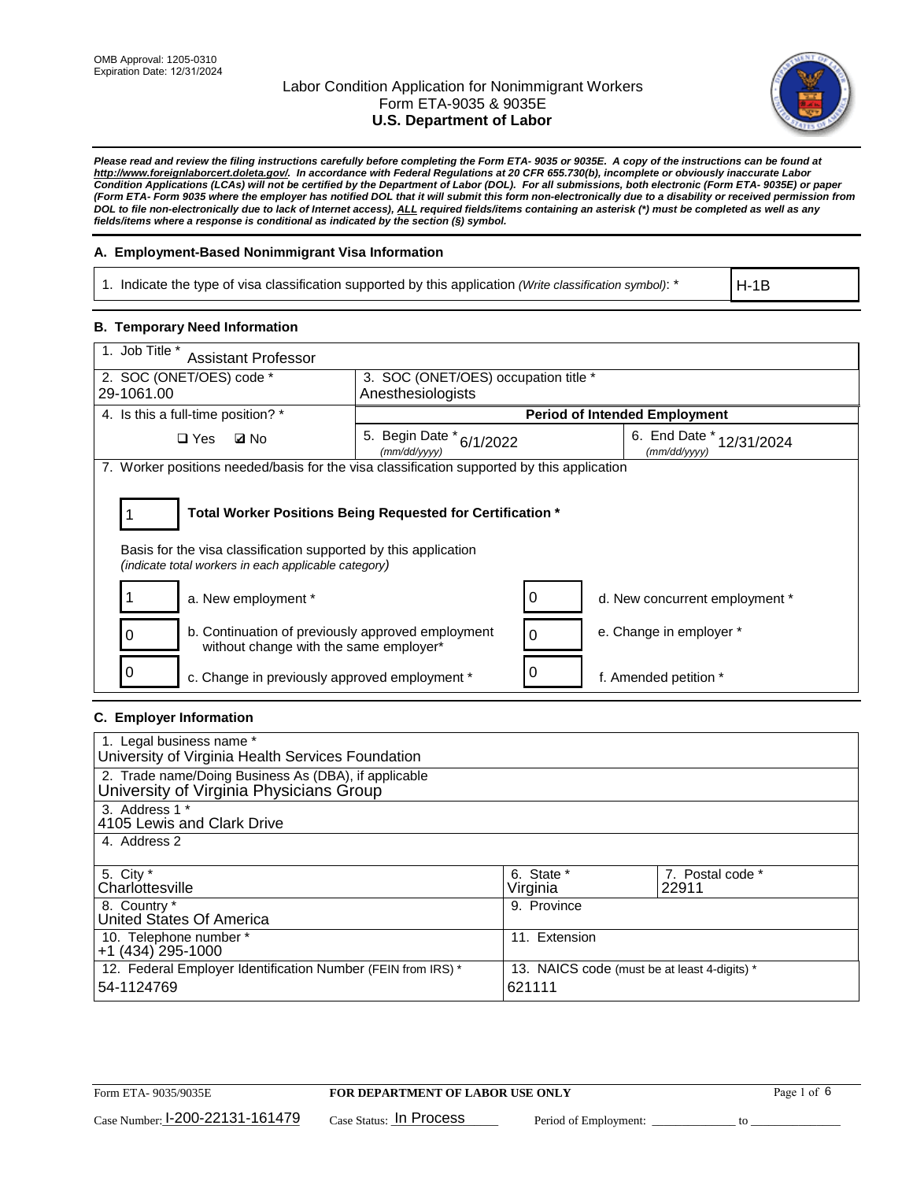

*Please read and review the filing instructions carefully before completing the Form ETA- 9035 or 9035E. A copy of the instructions can be found at [http://www.foreignlaborcert.doleta.gov/.](http://www.foreignlaborcert.doleta.gov/) In accordance with Federal Regulations at 20 CFR 655.730(b), incomplete or obviously inaccurate Labor Condition Applications (LCAs) will not be certified by the Department of Labor (DOL). For all submissions, both electronic (Form ETA- 9035E) or paper (Form ETA- Form 9035 where the employer has notified DOL that it will submit this form non-electronically due to a disability or received permission from DOL to file non-electronically due to lack of Internet access), ALL required fields/items containing an asterisk (\*) must be completed as well as any fields/items where a response is conditional as indicated by the section (§) symbol.* 

### **A. Employment-Based Nonimmigrant Visa Information**

1. Indicate the type of visa classification supported by this application *(Write classification symbol)*: \*

H-1B

### **B. Temporary Need Information**

| 1. Job Title *<br><b>Assistant Professor</b>                                                                                                                                          |                                          |          |                                            |  |
|---------------------------------------------------------------------------------------------------------------------------------------------------------------------------------------|------------------------------------------|----------|--------------------------------------------|--|
| 2. SOC (ONET/OES) code *                                                                                                                                                              | 3. SOC (ONET/OES) occupation title *     |          |                                            |  |
| 29-1061.00                                                                                                                                                                            | Anesthesiologists                        |          |                                            |  |
| 4. Is this a full-time position? *                                                                                                                                                    | <b>Period of Intended Employment</b>     |          |                                            |  |
| $\square$ Yes<br><b>ØNo</b>                                                                                                                                                           | 5. Begin Date * 6/1/2022<br>(mm/dd/yyyy) |          | 6. End Date $*$ 12/31/2024<br>(mm/dd/yyyy) |  |
| 7. Worker positions needed/basis for the visa classification supported by this application                                                                                            |                                          |          |                                            |  |
| Total Worker Positions Being Requested for Certification *<br>Basis for the visa classification supported by this application<br>(indicate total workers in each applicable category) |                                          |          |                                            |  |
| a. New employment *                                                                                                                                                                   |                                          | 0        | d. New concurrent employment *             |  |
| b. Continuation of previously approved employment<br>0<br>without change with the same employer*                                                                                      |                                          | $\Omega$ | e. Change in employer *                    |  |
| O<br>c. Change in previously approved employment *                                                                                                                                    |                                          | 0        | f. Amended petition *                      |  |

# **C. Employer Information**

| 1. Legal business name *<br>University of Virginia Health Services Foundation                   |                                              |                           |
|-------------------------------------------------------------------------------------------------|----------------------------------------------|---------------------------|
| 2. Trade name/Doing Business As (DBA), if applicable<br>University of Virginia Physicians Group |                                              |                           |
| 3. Address 1 *<br>4105 Lewis and Clark Drive                                                    |                                              |                           |
| 4. Address 2                                                                                    |                                              |                           |
| 5. City *<br>Charlottesville                                                                    | 6. State *<br>Virginia                       | 7. Postal code *<br>22911 |
| 8. Country *<br>United States Of America                                                        | 9. Province                                  |                           |
| 10. Telephone number *<br>$+1$ (434) 295-1000                                                   | 11. Extension                                |                           |
| 12. Federal Employer Identification Number (FEIN from IRS) *                                    | 13. NAICS code (must be at least 4-digits) * |                           |
| 54-1124769                                                                                      | 621111                                       |                           |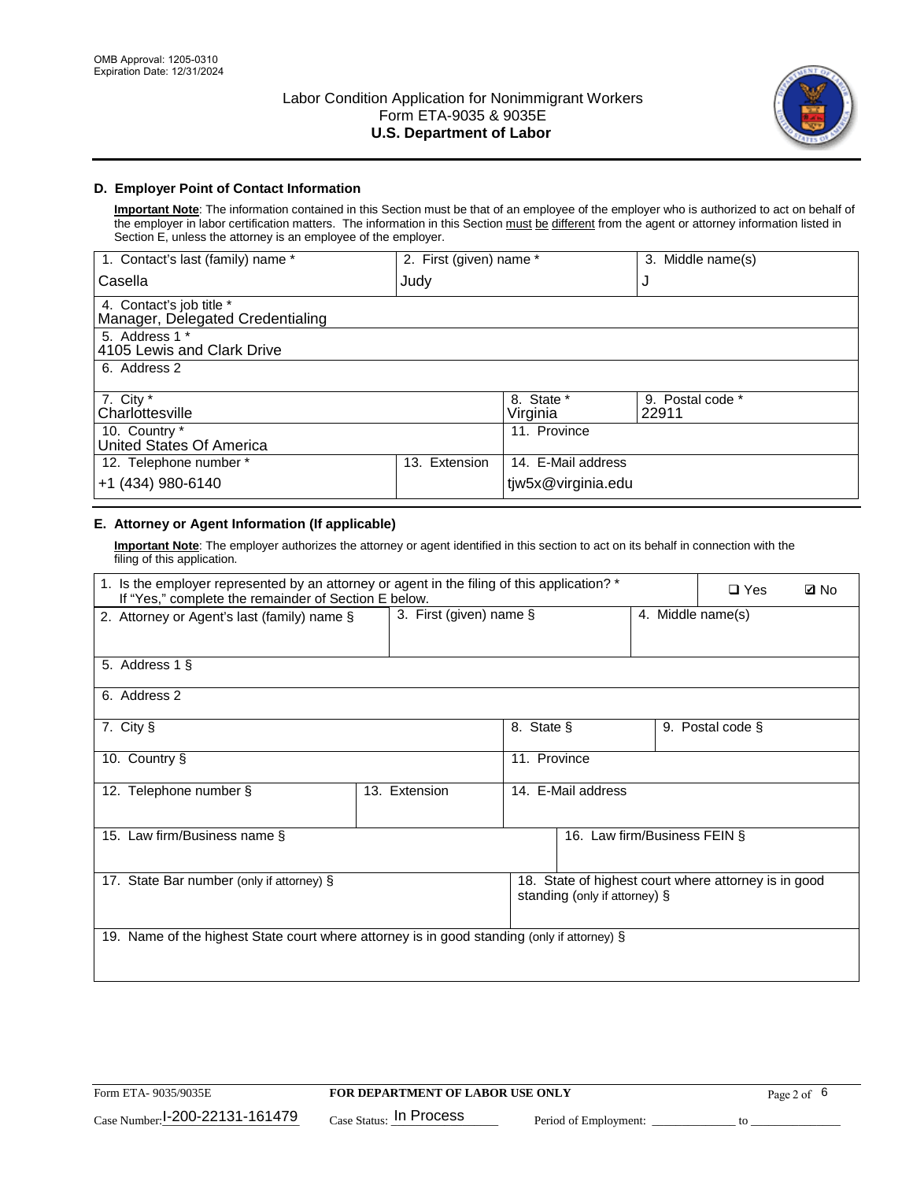

# **D. Employer Point of Contact Information**

**Important Note**: The information contained in this Section must be that of an employee of the employer who is authorized to act on behalf of the employer in labor certification matters. The information in this Section must be different from the agent or attorney information listed in Section E, unless the attorney is an employee of the employer.

| 1. Contact's last (family) name *                            | 2. First (given) name * |                        | 3. Middle name(s)         |
|--------------------------------------------------------------|-------------------------|------------------------|---------------------------|
| Casella                                                      | Judy                    |                        | J                         |
| 4. Contact's job title *<br>Manager, Delegated Credentialing |                         |                        |                           |
| 5. Address 1 *<br>4105 Lewis and Clark Drive                 |                         |                        |                           |
| 6. Address 2                                                 |                         |                        |                           |
| 7. City $*$<br>Charlottesville                               |                         | 8. State *<br>Virginia | 9. Postal code *<br>22911 |
| 10. Country *<br>United States Of America                    |                         | 11. Province           |                           |
| 12. Telephone number *                                       | Extension<br>13.        | 14. E-Mail address     |                           |
| +1 (434) 980-6140                                            |                         | tjw5x@virginia.edu     |                           |

# **E. Attorney or Agent Information (If applicable)**

**Important Note**: The employer authorizes the attorney or agent identified in this section to act on its behalf in connection with the filing of this application.

| 1. Is the employer represented by an attorney or agent in the filing of this application? *<br>If "Yes," complete the remainder of Section E below. |                         |              |                               | $\Box$ Yes        | <b>ØNo</b>                                           |  |
|-----------------------------------------------------------------------------------------------------------------------------------------------------|-------------------------|--------------|-------------------------------|-------------------|------------------------------------------------------|--|
| 2. Attorney or Agent's last (family) name §                                                                                                         | 3. First (given) name § |              |                               | 4. Middle name(s) |                                                      |  |
| 5. Address 1 §                                                                                                                                      |                         |              |                               |                   |                                                      |  |
| 6. Address 2                                                                                                                                        |                         |              |                               |                   |                                                      |  |
| 7. City §                                                                                                                                           |                         | 8. State §   |                               |                   | 9. Postal code §                                     |  |
| 10. Country §                                                                                                                                       |                         | 11. Province |                               |                   |                                                      |  |
| 12. Telephone number §                                                                                                                              | 13. Extension           |              | 14. E-Mail address            |                   |                                                      |  |
| 15. Law firm/Business name §                                                                                                                        |                         |              | 16. Law firm/Business FEIN §  |                   |                                                      |  |
| 17. State Bar number (only if attorney) §                                                                                                           |                         |              | standing (only if attorney) § |                   | 18. State of highest court where attorney is in good |  |
| 19. Name of the highest State court where attorney is in good standing (only if attorney) §                                                         |                         |              |                               |                   |                                                      |  |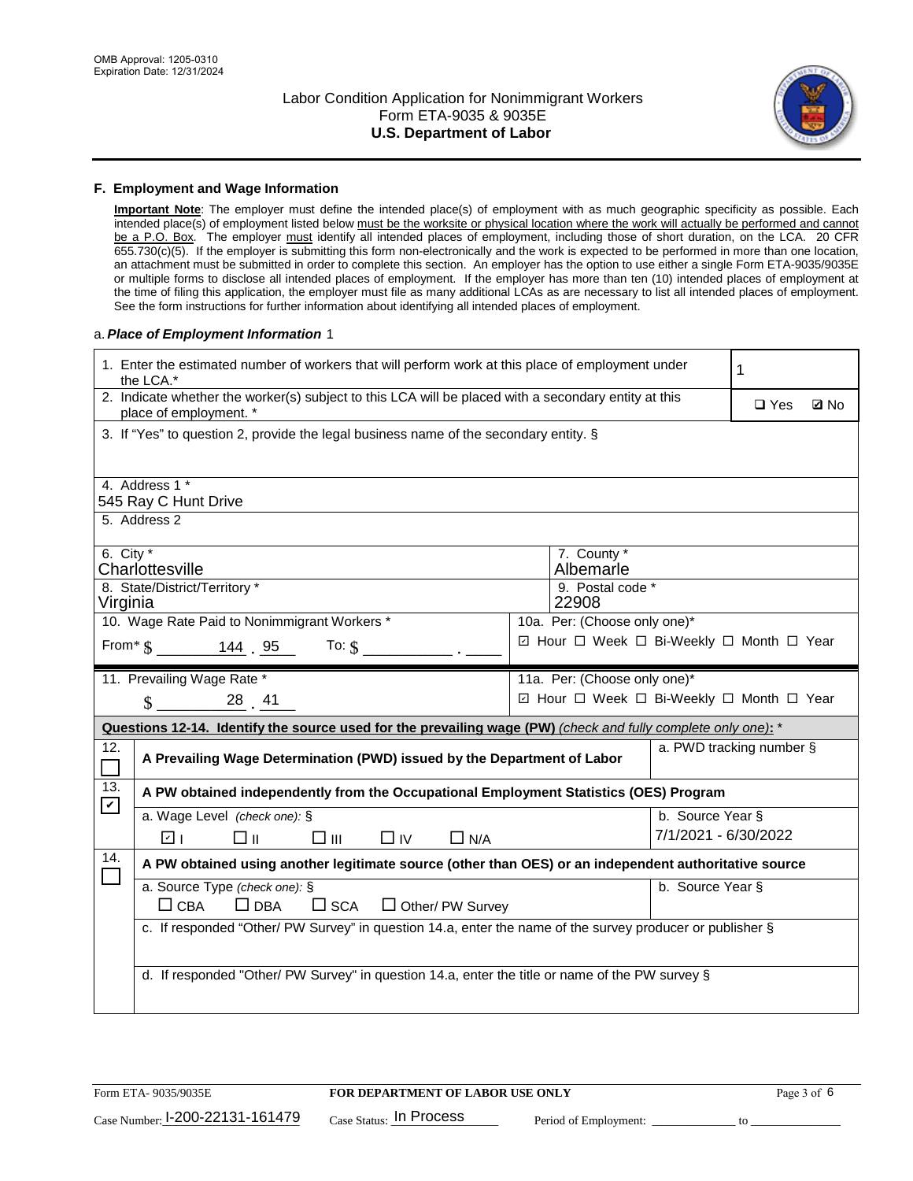

#### **F. Employment and Wage Information**

**Important Note**: The employer must define the intended place(s) of employment with as much geographic specificity as possible. Each intended place(s) of employment listed below must be the worksite or physical location where the work will actually be performed and cannot be a P.O. Box. The employer must identify all intended places of employment, including those of short duration, on the LCA. 20 CFR 655.730(c)(5). If the employer is submitting this form non-electronically and the work is expected to be performed in more than one location, an attachment must be submitted in order to complete this section. An employer has the option to use either a single Form ETA-9035/9035E or multiple forms to disclose all intended places of employment. If the employer has more than ten (10) intended places of employment at the time of filing this application, the employer must file as many additional LCAs as are necessary to list all intended places of employment. See the form instructions for further information about identifying all intended places of employment.

#### a.*Place of Employment Information* 1

|                            | 1. Enter the estimated number of workers that will perform work at this place of employment under<br>the LCA.*                 |  |                              |                      |                                          |  |  |
|----------------------------|--------------------------------------------------------------------------------------------------------------------------------|--|------------------------------|----------------------|------------------------------------------|--|--|
|                            | 2. Indicate whether the worker(s) subject to this LCA will be placed with a secondary entity at this<br>place of employment. * |  |                              |                      | $\square$ Yes<br><b>Z</b> No             |  |  |
|                            | 3. If "Yes" to question 2, provide the legal business name of the secondary entity. §                                          |  |                              |                      |                                          |  |  |
|                            | 4. Address 1 *                                                                                                                 |  |                              |                      |                                          |  |  |
|                            | 545 Ray C Hunt Drive                                                                                                           |  |                              |                      |                                          |  |  |
|                            | 5. Address 2                                                                                                                   |  |                              |                      |                                          |  |  |
| 6. City $*$                |                                                                                                                                |  | 7. County *                  |                      |                                          |  |  |
|                            | Charlottesville                                                                                                                |  | Albemarle                    |                      |                                          |  |  |
| Virginia                   | 8. State/District/Territory *                                                                                                  |  | 9. Postal code *<br>22908    |                      |                                          |  |  |
|                            | 10. Wage Rate Paid to Nonimmigrant Workers *                                                                                   |  | 10a. Per: (Choose only one)* |                      |                                          |  |  |
|                            | From $\frac{144}{1}$ $\frac{95}{100}$ To: $\frac{6}{10}$                                                                       |  |                              |                      | ☑ Hour □ Week □ Bi-Weekly □ Month □ Year |  |  |
|                            | 11. Prevailing Wage Rate *                                                                                                     |  | 11a. Per: (Choose only one)* |                      |                                          |  |  |
|                            | $\frac{1}{28}$ , 41                                                                                                            |  |                              |                      | ☑ Hour □ Week □ Bi-Weekly □ Month □ Year |  |  |
|                            | Questions 12-14. Identify the source used for the prevailing wage (PW) (check and fully complete only one): *                  |  |                              |                      |                                          |  |  |
| 12.<br>$\Box$              | a. PWD tracking number §<br>A Prevailing Wage Determination (PWD) issued by the Department of Labor                            |  |                              |                      |                                          |  |  |
|                            |                                                                                                                                |  |                              |                      |                                          |  |  |
| 13.                        | A PW obtained independently from the Occupational Employment Statistics (OES) Program                                          |  |                              |                      |                                          |  |  |
| $\boldsymbol{\mathcal{V}}$ | a. Wage Level (check one): §                                                                                                   |  |                              | b. Source Year §     |                                          |  |  |
|                            | नि⊥<br>□⊪<br>$\square$ $\square$<br>$\Box$ IV<br>$\Box$ N/A                                                                    |  |                              | 7/1/2021 - 6/30/2022 |                                          |  |  |
| 14.                        | A PW obtained using another legitimate source (other than OES) or an independent authoritative source                          |  |                              |                      |                                          |  |  |
|                            | a. Source Type (check one): §                                                                                                  |  |                              | b. Source Year §     |                                          |  |  |
|                            | $\Box$ CBA<br>$\Box$ DBA<br>$\square$ SCA<br>$\Box$ Other/ PW Survey                                                           |  |                              |                      |                                          |  |  |
|                            | c. If responded "Other/ PW Survey" in question 14.a, enter the name of the survey producer or publisher §                      |  |                              |                      |                                          |  |  |
|                            |                                                                                                                                |  |                              |                      |                                          |  |  |
|                            | d. If responded "Other/ PW Survey" in question 14.a, enter the title or name of the PW survey §                                |  |                              |                      |                                          |  |  |
|                            |                                                                                                                                |  |                              |                      |                                          |  |  |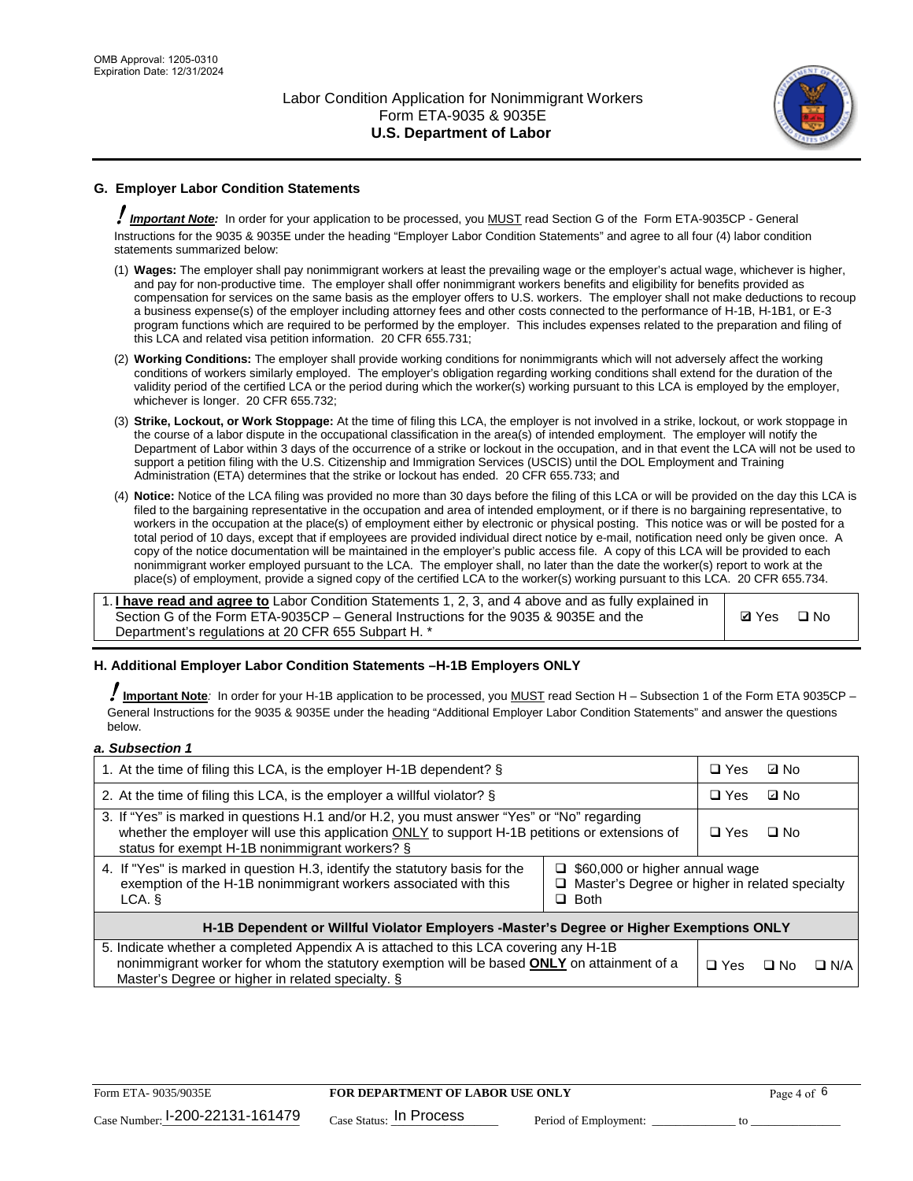

# **G. Employer Labor Condition Statements**

! *Important Note:* In order for your application to be processed, you MUST read Section G of the Form ETA-9035CP - General Instructions for the 9035 & 9035E under the heading "Employer Labor Condition Statements" and agree to all four (4) labor condition statements summarized below:

- (1) **Wages:** The employer shall pay nonimmigrant workers at least the prevailing wage or the employer's actual wage, whichever is higher, and pay for non-productive time. The employer shall offer nonimmigrant workers benefits and eligibility for benefits provided as compensation for services on the same basis as the employer offers to U.S. workers. The employer shall not make deductions to recoup a business expense(s) of the employer including attorney fees and other costs connected to the performance of H-1B, H-1B1, or E-3 program functions which are required to be performed by the employer. This includes expenses related to the preparation and filing of this LCA and related visa petition information. 20 CFR 655.731;
- (2) **Working Conditions:** The employer shall provide working conditions for nonimmigrants which will not adversely affect the working conditions of workers similarly employed. The employer's obligation regarding working conditions shall extend for the duration of the validity period of the certified LCA or the period during which the worker(s) working pursuant to this LCA is employed by the employer, whichever is longer. 20 CFR 655.732;
- (3) **Strike, Lockout, or Work Stoppage:** At the time of filing this LCA, the employer is not involved in a strike, lockout, or work stoppage in the course of a labor dispute in the occupational classification in the area(s) of intended employment. The employer will notify the Department of Labor within 3 days of the occurrence of a strike or lockout in the occupation, and in that event the LCA will not be used to support a petition filing with the U.S. Citizenship and Immigration Services (USCIS) until the DOL Employment and Training Administration (ETA) determines that the strike or lockout has ended. 20 CFR 655.733; and
- (4) **Notice:** Notice of the LCA filing was provided no more than 30 days before the filing of this LCA or will be provided on the day this LCA is filed to the bargaining representative in the occupation and area of intended employment, or if there is no bargaining representative, to workers in the occupation at the place(s) of employment either by electronic or physical posting. This notice was or will be posted for a total period of 10 days, except that if employees are provided individual direct notice by e-mail, notification need only be given once. A copy of the notice documentation will be maintained in the employer's public access file. A copy of this LCA will be provided to each nonimmigrant worker employed pursuant to the LCA. The employer shall, no later than the date the worker(s) report to work at the place(s) of employment, provide a signed copy of the certified LCA to the worker(s) working pursuant to this LCA. 20 CFR 655.734.

1. **I have read and agree to** Labor Condition Statements 1, 2, 3, and 4 above and as fully explained in Section G of the Form ETA-9035CP – General Instructions for the 9035 & 9035E and the Department's regulations at 20 CFR 655 Subpart H. \*

**Ø**Yes ロNo

#### **H. Additional Employer Labor Condition Statements –H-1B Employers ONLY**

!**Important Note***:* In order for your H-1B application to be processed, you MUST read Section H – Subsection 1 of the Form ETA 9035CP – General Instructions for the 9035 & 9035E under the heading "Additional Employer Labor Condition Statements" and answer the questions below.

#### *a. Subsection 1*

| 1. At the time of filing this LCA, is the employer H-1B dependent? §                                                                                                                                                                                               |  | $\Box$ Yes | ⊡ No |            |
|--------------------------------------------------------------------------------------------------------------------------------------------------------------------------------------------------------------------------------------------------------------------|--|------------|------|------------|
| 2. At the time of filing this LCA, is the employer a willful violator? $\S$                                                                                                                                                                                        |  | $\Box$ Yes | ⊡ No |            |
| 3. If "Yes" is marked in questions H.1 and/or H.2, you must answer "Yes" or "No" regarding<br>whether the employer will use this application ONLY to support H-1B petitions or extensions of<br>status for exempt H-1B nonimmigrant workers? §                     |  |            | ∩ No |            |
| 4. If "Yes" is marked in question H.3, identify the statutory basis for the<br>$\Box$ \$60,000 or higher annual wage<br>exemption of the H-1B nonimmigrant workers associated with this<br>□ Master's Degree or higher in related specialty<br>$\Box$ Both<br>LCA. |  |            |      |            |
| H-1B Dependent or Willful Violator Employers -Master's Degree or Higher Exemptions ONLY                                                                                                                                                                            |  |            |      |            |
| 5. Indicate whether a completed Appendix A is attached to this LCA covering any H-1B<br>nonimmigrant worker for whom the statutory exemption will be based <b>ONLY</b> on attainment of a<br>Master's Degree or higher in related specialty. §                     |  | $\Box$ Yes | ⊡ No | $\Box$ N/A |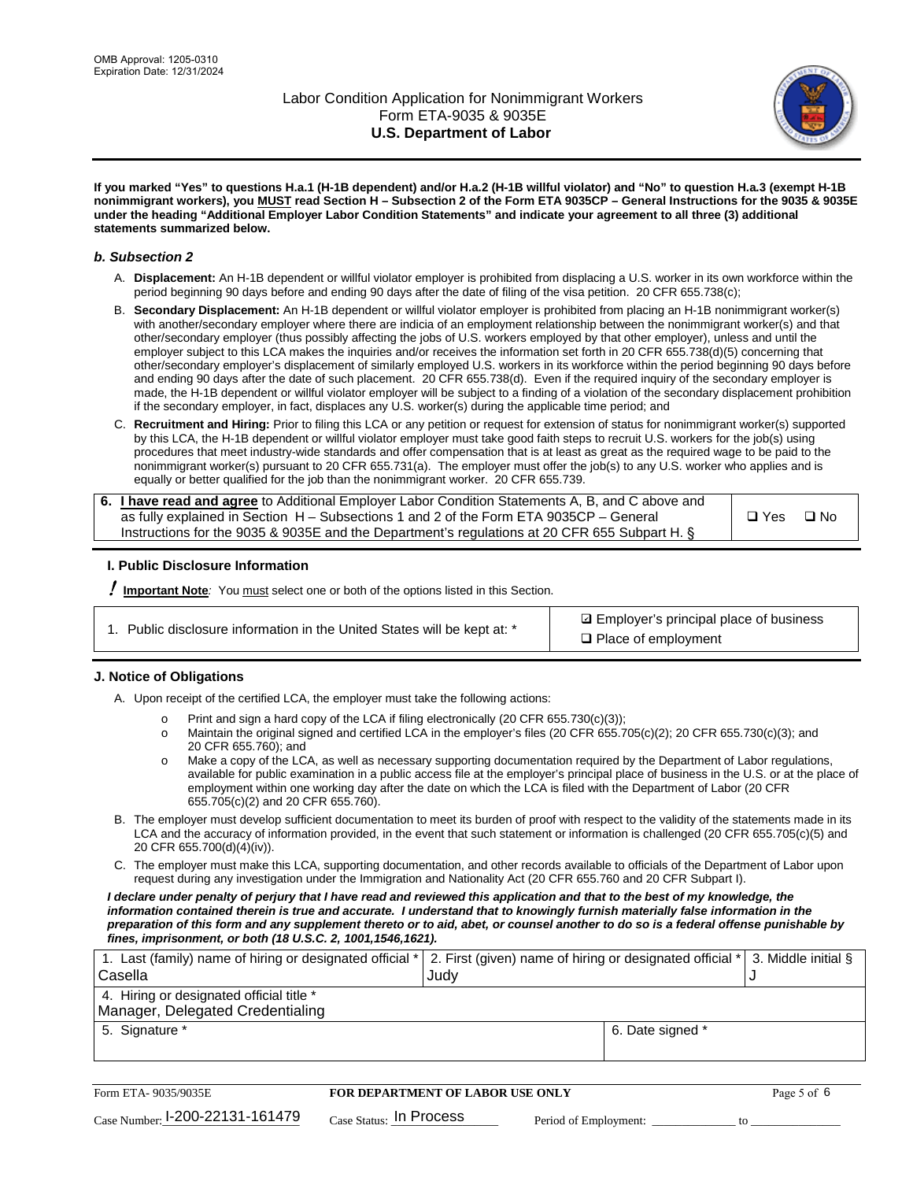

**If you marked "Yes" to questions H.a.1 (H-1B dependent) and/or H.a.2 (H-1B willful violator) and "No" to question H.a.3 (exempt H-1B nonimmigrant workers), you MUST read Section H – Subsection 2 of the Form ETA 9035CP – General Instructions for the 9035 & 9035E under the heading "Additional Employer Labor Condition Statements" and indicate your agreement to all three (3) additional statements summarized below.**

#### *b. Subsection 2*

- A. **Displacement:** An H-1B dependent or willful violator employer is prohibited from displacing a U.S. worker in its own workforce within the period beginning 90 days before and ending 90 days after the date of filing of the visa petition. 20 CFR 655.738(c);
- B. **Secondary Displacement:** An H-1B dependent or willful violator employer is prohibited from placing an H-1B nonimmigrant worker(s) with another/secondary employer where there are indicia of an employment relationship between the nonimmigrant worker(s) and that other/secondary employer (thus possibly affecting the jobs of U.S. workers employed by that other employer), unless and until the employer subject to this LCA makes the inquiries and/or receives the information set forth in 20 CFR 655.738(d)(5) concerning that other/secondary employer's displacement of similarly employed U.S. workers in its workforce within the period beginning 90 days before and ending 90 days after the date of such placement. 20 CFR 655.738(d). Even if the required inquiry of the secondary employer is made, the H-1B dependent or willful violator employer will be subject to a finding of a violation of the secondary displacement prohibition if the secondary employer, in fact, displaces any U.S. worker(s) during the applicable time period; and
- C. **Recruitment and Hiring:** Prior to filing this LCA or any petition or request for extension of status for nonimmigrant worker(s) supported by this LCA, the H-1B dependent or willful violator employer must take good faith steps to recruit U.S. workers for the job(s) using procedures that meet industry-wide standards and offer compensation that is at least as great as the required wage to be paid to the nonimmigrant worker(s) pursuant to 20 CFR 655.731(a). The employer must offer the job(s) to any U.S. worker who applies and is equally or better qualified for the job than the nonimmigrant worker. 20 CFR 655.739.

| 6. I have read and agree to Additional Employer Labor Condition Statements A, B, and C above and |       |           |
|--------------------------------------------------------------------------------------------------|-------|-----------|
| as fully explained in Section H – Subsections 1 and 2 of the Form ETA 9035CP – General           | □ Yes | $\Box$ No |
| Instructions for the 9035 & 9035 E and the Department's regulations at 20 CFR 655 Subpart H. §   |       |           |

#### **I. Public Disclosure Information**

! **Important Note***:* You must select one or both of the options listed in this Section.

**sqrt** Employer's principal place of business □ Place of employment

#### **J. Notice of Obligations**

A. Upon receipt of the certified LCA, the employer must take the following actions:

- o Print and sign a hard copy of the LCA if filing electronically (20 CFR 655.730(c)(3));<br>
Maintain the original signed and certified LCA in the employer's files (20 CFR 655.7
- Maintain the original signed and certified LCA in the employer's files (20 CFR 655.705(c)(2); 20 CFR 655.730(c)(3); and 20 CFR 655.760); and
- o Make a copy of the LCA, as well as necessary supporting documentation required by the Department of Labor regulations, available for public examination in a public access file at the employer's principal place of business in the U.S. or at the place of employment within one working day after the date on which the LCA is filed with the Department of Labor (20 CFR 655.705(c)(2) and 20 CFR 655.760).
- B. The employer must develop sufficient documentation to meet its burden of proof with respect to the validity of the statements made in its LCA and the accuracy of information provided, in the event that such statement or information is challenged (20 CFR 655.705(c)(5) and 20 CFR 655.700(d)(4)(iv)).
- C. The employer must make this LCA, supporting documentation, and other records available to officials of the Department of Labor upon request during any investigation under the Immigration and Nationality Act (20 CFR 655.760 and 20 CFR Subpart I).

*I declare under penalty of perjury that I have read and reviewed this application and that to the best of my knowledge, the*  information contained therein is true and accurate. I understand that to knowingly furnish materially false information in the *preparation of this form and any supplement thereto or to aid, abet, or counsel another to do so is a federal offense punishable by fines, imprisonment, or both (18 U.S.C. 2, 1001,1546,1621).*

| 1. Last (family) name of hiring or designated official *   2. First (given) name of hiring or designated official *   3. Middle initial § |                  |  |
|-------------------------------------------------------------------------------------------------------------------------------------------|------------------|--|
| Casella                                                                                                                                   | Judv             |  |
| 4. Hiring or designated official title *                                                                                                  |                  |  |
| Manager, Delegated Credentialing                                                                                                          |                  |  |
| 5. Signature *                                                                                                                            | 6. Date signed * |  |
|                                                                                                                                           |                  |  |